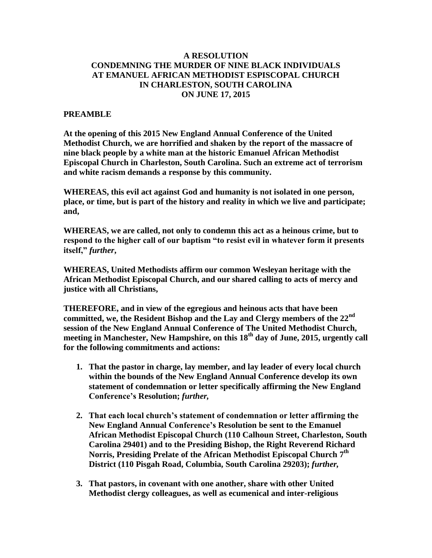## **A RESOLUTION CONDEMNING THE MURDER OF NINE BLACK INDIVIDUALS AT EMANUEL AFRICAN METHODIST ESPISCOPAL CHURCH IN CHARLESTON, SOUTH CAROLINA ON JUNE 17, 2015**

## **PREAMBLE**

**At the opening of this 2015 New England Annual Conference of the United Methodist Church, we are horrified and shaken by the report of the massacre of nine black people by a white man at the historic Emanuel African Methodist Episcopal Church in Charleston, South Carolina. Such an extreme act of terrorism and white racism demands a response by this community.**

**WHEREAS, this evil act against God and humanity is not isolated in one person, place, or time, but is part of the history and reality in which we live and participate; and,**

**WHEREAS, we are called, not only to condemn this act as a heinous crime, but to respond to the higher call of our baptism "to resist evil in whatever form it presents itself,"** *further***,**

**WHEREAS, United Methodists affirm our common Wesleyan heritage with the African Methodist Episcopal Church, and our shared calling to acts of mercy and justice with all Christians,** 

**THEREFORE, and in view of the egregious and heinous acts that have been committed, we, the Resident Bishop and the Lay and Clergy members of the 22nd session of the New England Annual Conference of The United Methodist Church, meeting in Manchester, New Hampshire, on this 18th day of June, 2015, urgently call for the following commitments and actions:**

- **1. That the pastor in charge, lay member, and lay leader of every local church within the bounds of the New England Annual Conference develop its own statement of condemnation or letter specifically affirming the New England Conference's Resolution;** *further,*
- **2. That each local church's statement of condemnation or letter affirming the New England Annual Conference's Resolution be sent to the Emanuel African Methodist Episcopal Church (110 Calhoun Street, Charleston, South Carolina 29401) and to the Presiding Bishop, the Right Reverend Richard Norris, Presiding Prelate of the African Methodist Episcopal Church 7 th District (110 Pisgah Road, Columbia, South Carolina 29203);** *further,*
- **3. That pastors, in covenant with one another, share with other United Methodist clergy colleagues, as well as ecumenical and inter-religious**